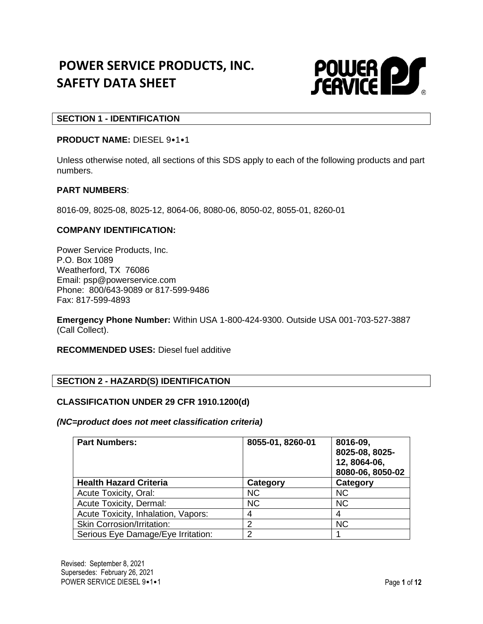# **POWER SERVICE PRODUCTS, INC. SAFETY DATA SHEET**



# **SECTION 1 - IDENTIFICATION**

#### **PRODUCT NAME:** DIESEL 9•1•1

Unless otherwise noted, all sections of this SDS apply to each of the following products and part numbers.

#### **PART NUMBERS**:

8016-09, 8025-08, 8025-12, 8064-06, 8080-06, 8050-02, 8055-01, 8260-01

#### **COMPANY IDENTIFICATION:**

Power Service Products, Inc. P.O. Box 1089 Weatherford, TX 76086 Email: psp@powerservice.com Phone: 800/643-9089 or 817-599-9486 Fax: 817-599-4893

**Emergency Phone Number:** Within USA 1-800-424-9300. Outside USA 001-703-527-3887 (Call Collect).

**RECOMMENDED USES:** Diesel fuel additive

## **SECTION 2 - HAZARD(S) IDENTIFICATION**

#### **CLASSIFICATION UNDER 29 CFR 1910.1200(d)**

#### *(NC=product does not meet classification criteria)*

| <b>Part Numbers:</b>                | 8055-01, 8260-01 | 8016-09,<br>8025-08, 8025-<br>12, 8064-06,<br>8080-06, 8050-02 |
|-------------------------------------|------------------|----------------------------------------------------------------|
| <b>Health Hazard Criteria</b>       | Category         | Category                                                       |
| Acute Toxicity, Oral:               | <b>NC</b>        | <b>NC</b>                                                      |
| Acute Toxicity, Dermal:             | <b>NC</b>        | <b>NC</b>                                                      |
| Acute Toxicity, Inhalation, Vapors: |                  | 4                                                              |
| <b>Skin Corrosion/Irritation:</b>   | າ                | <b>NC</b>                                                      |
| Serious Eye Damage/Eye Irritation:  | າ                |                                                                |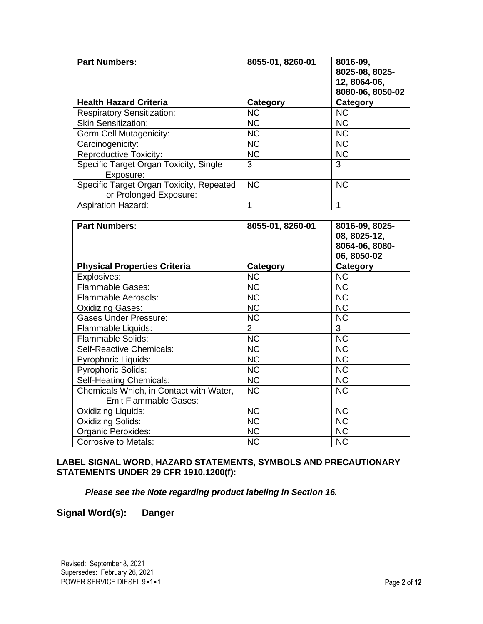| <b>Part Numbers:</b>                     | 8055-01, 8260-01 | 8016-09,<br>8025-08, 8025-<br>12, 8064-06,<br>8080-06, 8050-02 |
|------------------------------------------|------------------|----------------------------------------------------------------|
| <b>Health Hazard Criteria</b>            | Category         | Category                                                       |
| <b>Respiratory Sensitization:</b>        | <b>NC</b>        | <b>NC</b>                                                      |
| <b>Skin Sensitization:</b>               | <b>NC</b>        | <b>NC</b>                                                      |
| Germ Cell Mutagenicity:                  | <b>NC</b>        | <b>NC</b>                                                      |
| Carcinogenicity:                         | <b>NC</b>        | <b>NC</b>                                                      |
| <b>Reproductive Toxicity:</b>            | <b>NC</b>        | <b>NC</b>                                                      |
| Specific Target Organ Toxicity, Single   | 3                | 3                                                              |
| Exposure:                                |                  |                                                                |
| Specific Target Organ Toxicity, Repeated | <b>NC</b>        | <b>NC</b>                                                      |
| or Prolonged Exposure:                   |                  |                                                                |
| <b>Aspiration Hazard:</b>                |                  |                                                                |

| <b>Part Numbers:</b>                                                    | 8055-01, 8260-01 | 8016-09, 8025-<br>08, 8025-12,<br>8064-06, 8080-<br>06, 8050-02 |
|-------------------------------------------------------------------------|------------------|-----------------------------------------------------------------|
| <b>Physical Properties Criteria</b>                                     | Category         | Category                                                        |
| Explosives:                                                             | <b>NC</b>        | <b>NC</b>                                                       |
| Flammable Gases:                                                        | <b>NC</b>        | <b>NC</b>                                                       |
| <b>Flammable Aerosols:</b>                                              | <b>NC</b>        | <b>NC</b>                                                       |
| Oxidizing Gases:                                                        | <b>NC</b>        | <b>NC</b>                                                       |
| <b>Gases Under Pressure:</b>                                            | <b>NC</b>        | <b>NC</b>                                                       |
| Flammable Liquids:                                                      | $\overline{2}$   | 3                                                               |
| Flammable Solids:                                                       | <b>NC</b>        | <b>NC</b>                                                       |
| Self-Reactive Chemicals:                                                | <b>NC</b>        | <b>NC</b>                                                       |
| <b>Pyrophoric Liquids:</b>                                              | <b>NC</b>        | <b>NC</b>                                                       |
| <b>Pyrophoric Solids:</b>                                               | <b>NC</b>        | <b>NC</b>                                                       |
| Self-Heating Chemicals:                                                 | <b>NC</b>        | <b>NC</b>                                                       |
| Chemicals Which, in Contact with Water,<br><b>Emit Flammable Gases:</b> | <b>NC</b>        | <b>NC</b>                                                       |
| Oxidizing Liquids:                                                      | <b>NC</b>        | <b>NC</b>                                                       |
| Oxidizing Solids:                                                       | <b>NC</b>        | <b>NC</b>                                                       |
| Organic Peroxides:                                                      | <b>NC</b>        | <b>NC</b>                                                       |
| <b>Corrosive to Metals:</b>                                             | <b>NC</b>        | <b>NC</b>                                                       |

# **LABEL SIGNAL WORD, HAZARD STATEMENTS, SYMBOLS AND PRECAUTIONARY STATEMENTS UNDER 29 CFR 1910.1200(f):**

*Please see the Note regarding product labeling in Section 16.*

**Signal Word(s): Danger**

Revised: September 8, 2021 Supersedes: February 26, 2021 POWER SERVICE DIESEL 9•1•1 **POWER SERVICE** DIESEL 9•1•1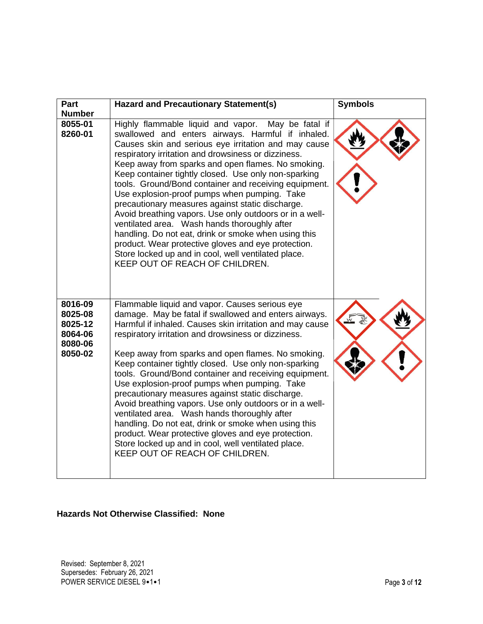| Part                                                           | <b>Hazard and Precautionary Statement(s)</b>                                                                                                                                                                                                                                                                                                                                                                                                                                                                                                                                                                                                                                                                                                                                                                             | <b>Symbols</b> |
|----------------------------------------------------------------|--------------------------------------------------------------------------------------------------------------------------------------------------------------------------------------------------------------------------------------------------------------------------------------------------------------------------------------------------------------------------------------------------------------------------------------------------------------------------------------------------------------------------------------------------------------------------------------------------------------------------------------------------------------------------------------------------------------------------------------------------------------------------------------------------------------------------|----------------|
| <b>Number</b><br>8055-01<br>8260-01                            | Highly flammable liquid and vapor. May be fatal if<br>swallowed and enters airways. Harmful if inhaled.<br>Causes skin and serious eye irritation and may cause<br>respiratory irritation and drowsiness or dizziness.<br>Keep away from sparks and open flames. No smoking.<br>Keep container tightly closed. Use only non-sparking<br>tools. Ground/Bond container and receiving equipment.<br>Use explosion-proof pumps when pumping. Take<br>precautionary measures against static discharge.<br>Avoid breathing vapors. Use only outdoors or in a well-<br>ventilated area. Wash hands thoroughly after<br>handling. Do not eat, drink or smoke when using this<br>product. Wear protective gloves and eye protection.<br>Store locked up and in cool, well ventilated place.<br>KEEP OUT OF REACH OF CHILDREN.     |                |
| 8016-09<br>8025-08<br>8025-12<br>8064-06<br>8080-06<br>8050-02 | Flammable liquid and vapor. Causes serious eye<br>damage. May be fatal if swallowed and enters airways.<br>Harmful if inhaled. Causes skin irritation and may cause<br>respiratory irritation and drowsiness or dizziness.<br>Keep away from sparks and open flames. No smoking.<br>Keep container tightly closed. Use only non-sparking<br>tools. Ground/Bond container and receiving equipment.<br>Use explosion-proof pumps when pumping. Take<br>precautionary measures against static discharge.<br>Avoid breathing vapors. Use only outdoors or in a well-<br>ventilated area. Wash hands thoroughly after<br>handling. Do not eat, drink or smoke when using this<br>product. Wear protective gloves and eye protection.<br>Store locked up and in cool, well ventilated place.<br>KEEP OUT OF REACH OF CHILDREN. |                |

# **Hazards Not Otherwise Classified: None**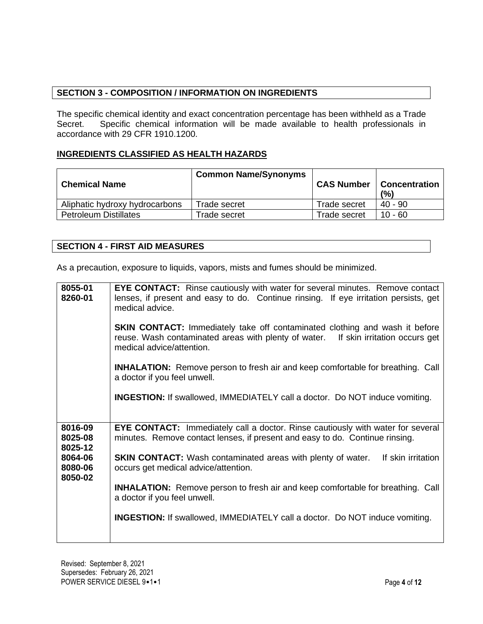# **SECTION 3 - COMPOSITION / INFORMATION ON INGREDIENTS**

The specific chemical identity and exact concentration percentage has been withheld as a Trade Secret. Specific chemical information will be made available to health professionals in accordance with 29 CFR 1910.1200.

# **INGREDIENTS CLASSIFIED AS HEALTH HAZARDS**

| <b>Chemical Name</b>           | <b>Common Name/Synonyms</b> | <b>CAS Number</b> | <b>Concentration</b><br>(%) |
|--------------------------------|-----------------------------|-------------------|-----------------------------|
| Aliphatic hydroxy hydrocarbons | Trade secret                | Trade secret      | 40 - 90                     |
| <b>Petroleum Distillates</b>   | Frade secret                | Trade secret      | 10 - 60                     |

# **SECTION 4 - FIRST AID MEASURES**

As a precaution, exposure to liquids, vapors, mists and fumes should be minimized.

| 8016-09<br>EYE CONTACT: Immediately call a doctor. Rinse cautiously with water for several<br>8025-08<br>minutes. Remove contact lenses, if present and easy to do. Continue rinsing.<br>8025-12<br>8064-06<br><b>SKIN CONTACT:</b> Wash contaminated areas with plenty of water.<br>If skin irritation<br>8080-06<br>occurs get medical advice/attention.<br>8050-02<br><b>INHALATION:</b> Remove person to fresh air and keep comfortable for breathing. Call<br>a doctor if you feel unwell.<br><b>INGESTION:</b> If swallowed, IMMEDIATELY call a doctor. Do NOT induce vomiting. | 8055-01<br>8260-01 | EYE CONTACT: Rinse cautiously with water for several minutes. Remove contact<br>lenses, if present and easy to do. Continue rinsing. If eye irritation persists, get<br>medical advice.<br><b>SKIN CONTACT:</b> Immediately take off contaminated clothing and wash it before<br>reuse. Wash contaminated areas with plenty of water. If skin irritation occurs get<br>medical advice/attention.<br><b>INHALATION:</b> Remove person to fresh air and keep comfortable for breathing. Call<br>a doctor if you feel unwell.<br><b>INGESTION:</b> If swallowed, IMMEDIATELY call a doctor. Do NOT induce vomiting. |
|---------------------------------------------------------------------------------------------------------------------------------------------------------------------------------------------------------------------------------------------------------------------------------------------------------------------------------------------------------------------------------------------------------------------------------------------------------------------------------------------------------------------------------------------------------------------------------------|--------------------|------------------------------------------------------------------------------------------------------------------------------------------------------------------------------------------------------------------------------------------------------------------------------------------------------------------------------------------------------------------------------------------------------------------------------------------------------------------------------------------------------------------------------------------------------------------------------------------------------------------|
|                                                                                                                                                                                                                                                                                                                                                                                                                                                                                                                                                                                       |                    |                                                                                                                                                                                                                                                                                                                                                                                                                                                                                                                                                                                                                  |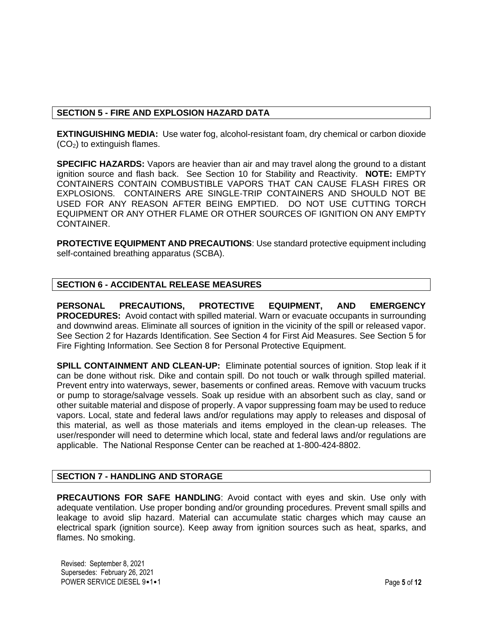# **SECTION 5 - FIRE AND EXPLOSION HAZARD DATA**

**EXTINGUISHING MEDIA:** Use water fog, alcohol-resistant foam, dry chemical or carbon dioxide  $(CO<sub>2</sub>)$  to extinguish flames.

**SPECIFIC HAZARDS:** Vapors are heavier than air and may travel along the ground to a distant ignition source and flash back. See Section 10 for Stability and Reactivity. **NOTE:** EMPTY CONTAINERS CONTAIN COMBUSTIBLE VAPORS THAT CAN CAUSE FLASH FIRES OR EXPLOSIONS. CONTAINERS ARE SINGLE-TRIP CONTAINERS AND SHOULD NOT BE USED FOR ANY REASON AFTER BEING EMPTIED. DO NOT USE CUTTING TORCH EQUIPMENT OR ANY OTHER FLAME OR OTHER SOURCES OF IGNITION ON ANY EMPTY CONTAINER.

**PROTECTIVE EQUIPMENT AND PRECAUTIONS**: Use standard protective equipment including self-contained breathing apparatus (SCBA).

# **SECTION 6 - ACCIDENTAL RELEASE MEASURES**

**PERSONAL PRECAUTIONS, PROTECTIVE EQUIPMENT, AND EMERGENCY PROCEDURES:** Avoid contact with spilled material. Warn or evacuate occupants in surrounding and downwind areas. Eliminate all sources of ignition in the vicinity of the spill or released vapor. See Section 2 for Hazards Identification. See Section 4 for First Aid Measures. See Section 5 for Fire Fighting Information. See Section 8 for Personal Protective Equipment.

**SPILL CONTAINMENT AND CLEAN-UP:** Eliminate potential sources of ignition. Stop leak if it can be done without risk. Dike and contain spill. Do not touch or walk through spilled material. Prevent entry into waterways, sewer, basements or confined areas. Remove with vacuum trucks or pump to storage/salvage vessels. Soak up residue with an absorbent such as clay, sand or other suitable material and dispose of properly. A vapor suppressing foam may be used to reduce vapors. Local, state and federal laws and/or regulations may apply to releases and disposal of this material, as well as those materials and items employed in the clean-up releases. The user/responder will need to determine which local, state and federal laws and/or regulations are applicable. The National Response Center can be reached at 1-800-424-8802.

# **SECTION 7 - HANDLING AND STORAGE**

**PRECAUTIONS FOR SAFE HANDLING**: Avoid contact with eyes and skin. Use only with adequate ventilation. Use proper bonding and/or grounding procedures. Prevent small spills and leakage to avoid slip hazard. Material can accumulate static charges which may cause an electrical spark (ignition source). Keep away from ignition sources such as heat, sparks, and flames. No smoking.

Revised: September 8, 2021 Supersedes: February 26, 2021 POWER SERVICE DIESEL 9•1•1 **Page 5** of **12**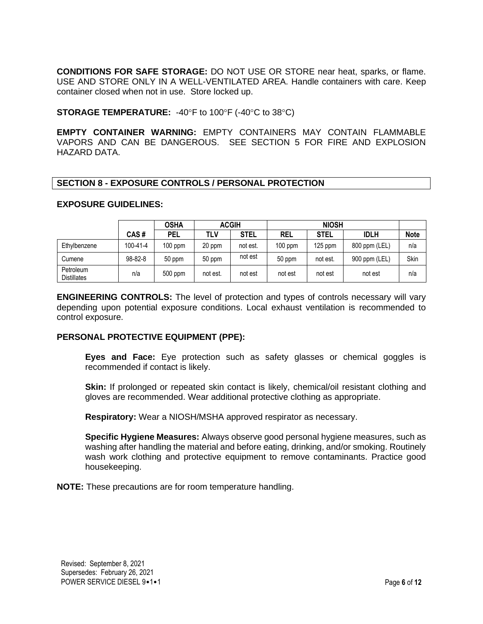**CONDITIONS FOR SAFE STORAGE:** DO NOT USE OR STORE near heat, sparks, or flame. USE AND STORE ONLY IN A WELL-VENTILATED AREA. Handle containers with care. Keep container closed when not in use. Store locked up.

**STORAGE TEMPERATURE:** -40°F to 100°F (-40°C to 38°C)

**EMPTY CONTAINER WARNING:** EMPTY CONTAINERS MAY CONTAIN FLAMMABLE VAPORS AND CAN BE DANGEROUS. SEE SECTION 5 FOR FIRE AND EXPLOSION HAZARD DATA.

# **SECTION 8 - EXPOSURE CONTROLS / PERSONAL PROTECTION**

#### **EXPOSURE GUIDELINES:**

|                                 |                | <b>OSHA</b> |          | <b>ACGIH</b> |            | <b>NIOSH</b> |               |             |
|---------------------------------|----------------|-------------|----------|--------------|------------|--------------|---------------|-------------|
|                                 | CAS#           | <b>PEL</b>  | tlv      | <b>STEL</b>  | <b>REL</b> | <b>STEL</b>  | <b>IDLH</b>   | <b>Note</b> |
| Ethylbenzene                    | $100 - 41 - 4$ | $100$ ppm   | 20 ppm   | not est.     | $100$ ppm  | $125$ ppm    | 800 ppm (LEL) | n/a         |
| Cumene                          | 98-82-8        | 50 ppm      | 50 ppm   | not est      | 50 ppm     | not est.     | 900 ppm (LEL) | Skin        |
| Petroleum<br><b>Distillates</b> | n/a            | 500 ppm     | not est. | not est      | not est    | not est      | not est       | n/a         |

**ENGINEERING CONTROLS:** The level of protection and types of controls necessary will vary depending upon potential exposure conditions. Local exhaust ventilation is recommended to control exposure.

#### **PERSONAL PROTECTIVE EQUIPMENT (PPE):**

**Eyes and Face:** Eye protection such as safety glasses or chemical goggles is recommended if contact is likely.

**Skin:** If prolonged or repeated skin contact is likely, chemical/oil resistant clothing and gloves are recommended. Wear additional protective clothing as appropriate.

**Respiratory:** Wear a NIOSH/MSHA approved respirator as necessary.

**Specific Hygiene Measures:** Always observe good personal hygiene measures, such as washing after handling the material and before eating, drinking, and/or smoking. Routinely wash work clothing and protective equipment to remove contaminants. Practice good housekeeping.

**NOTE:** These precautions are for room temperature handling.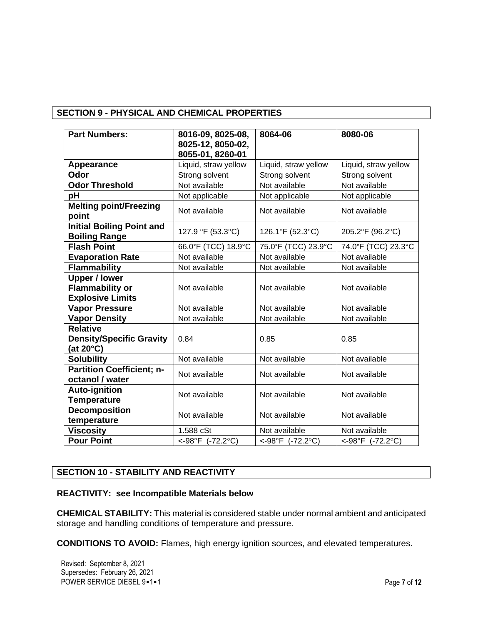# **SECTION 9 - PHYSICAL AND CHEMICAL PROPERTIES**

| <b>Part Numbers:</b>                                                      | 8016-09, 8025-08,<br>8025-12, 8050-02,<br>8055-01, 8260-01 | 8064-06              | 8080-06                          |
|---------------------------------------------------------------------------|------------------------------------------------------------|----------------------|----------------------------------|
| Appearance                                                                | Liquid, straw yellow                                       | Liquid, straw yellow | Liquid, straw yellow             |
| Odor                                                                      | Strong solvent                                             | Strong solvent       | Strong solvent                   |
| <b>Odor Threshold</b>                                                     | Not available                                              | Not available        | Not available                    |
| pH                                                                        | Not applicable                                             | Not applicable       | Not applicable                   |
| <b>Melting point/Freezing</b><br>point                                    | Not available                                              | Not available        | Not available                    |
| <b>Initial Boiling Point and</b><br><b>Boiling Range</b>                  | 127.9 °F (53.3°C)                                          | 126.1°F (52.3°C)     | 205.2°F (96.2°C)                 |
| <b>Flash Point</b>                                                        | 66.0°F (TCC) 18.9°C                                        | 75.0°F (TCC) 23.9°C  | 74.0°F (TCC) 23.3°C              |
| <b>Evaporation Rate</b>                                                   | Not available                                              | Not available        | Not available                    |
| <b>Flammability</b>                                                       | Not available                                              | Not available        | Not available                    |
| <b>Upper / lower</b><br><b>Flammability or</b><br><b>Explosive Limits</b> | Not available                                              | Not available        | Not available                    |
| <b>Vapor Pressure</b>                                                     | Not available                                              | Not available        | Not available                    |
| <b>Vapor Density</b>                                                      | Not available                                              | Not available        | Not available                    |
| <b>Relative</b><br><b>Density/Specific Gravity</b><br>(at 20°C)           | 0.84                                                       | 0.85                 | 0.85                             |
| <b>Solubility</b>                                                         | Not available                                              | Not available        | Not available                    |
| <b>Partition Coefficient; n-</b><br>octanol / water                       | Not available                                              | Not available        | Not available                    |
| <b>Auto-ignition</b><br><b>Temperature</b>                                | Not available                                              | Not available        | Not available                    |
| <b>Decomposition</b><br>temperature                                       | Not available                                              | Not available        | Not available                    |
| <b>Viscosity</b>                                                          | 1.588 cSt                                                  | Not available        | Not available                    |
| <b>Pour Point</b>                                                         | <-98°F (-72.2°C)                                           | <-98°F (-72.2°C)     | <-98°F $(-72.2^{\circ}\text{C})$ |

# **SECTION 10 - STABILITY AND REACTIVITY**

#### **REACTIVITY: see Incompatible Materials below**

**CHEMICAL STABILITY:** This material is considered stable under normal ambient and anticipated storage and handling conditions of temperature and pressure.

**CONDITIONS TO AVOID:** Flames, high energy ignition sources, and elevated temperatures.

Revised: September 8, 2021 Supersedes: February 26, 2021 POWER SERVICE DIESEL 9•1•1 **POWER SERVICE** DIESEL 9•1•1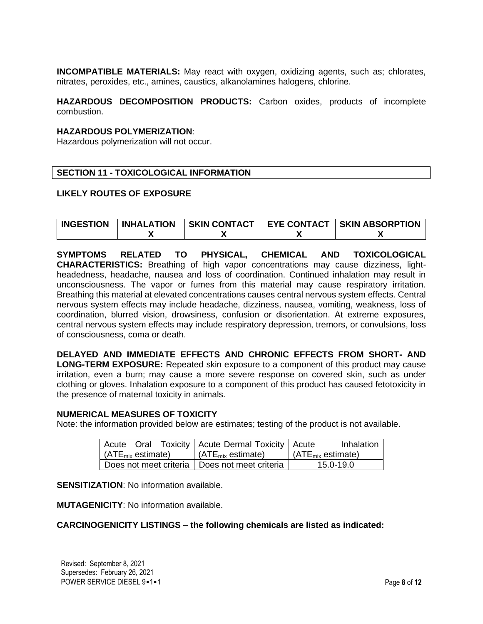**INCOMPATIBLE MATERIALS:** May react with oxygen, oxidizing agents, such as; chlorates, nitrates, peroxides, etc., amines, caustics, alkanolamines halogens, chlorine.

**HAZARDOUS DECOMPOSITION PRODUCTS:** Carbon oxides, products of incomplete combustion.

#### **HAZARDOUS POLYMERIZATION**:

Hazardous polymerization will not occur.

#### **SECTION 11 - TOXICOLOGICAL INFORMATION**

#### **LIKELY ROUTES OF EXPOSURE**

| <b>INGESTION</b> | <b>INHALATION</b> | <b>SKIN CONTACT</b> | <b>EYE CONTACT</b> | <b>SKIN ABSORPTION</b> |
|------------------|-------------------|---------------------|--------------------|------------------------|
|                  |                   |                     |                    |                        |

**SYMPTOMS RELATED TO PHYSICAL, CHEMICAL AND TOXICOLOGICAL CHARACTERISTICS:** Breathing of high vapor concentrations may cause dizziness, lightheadedness, headache, nausea and loss of coordination. Continued inhalation may result in unconsciousness. The vapor or fumes from this material may cause respiratory irritation. Breathing this material at elevated concentrations causes central nervous system effects. Central nervous system effects may include headache, dizziness, nausea, vomiting, weakness, loss of coordination, blurred vision, drowsiness, confusion or disorientation. At extreme exposures, central nervous system effects may include respiratory depression, tremors, or convulsions, loss of consciousness, coma or death.

**DELAYED AND IMMEDIATE EFFECTS AND CHRONIC EFFECTS FROM SHORT- AND LONG-TERM EXPOSURE:** Repeated skin exposure to a component of this product may cause irritation, even a burn; may cause a more severe response on covered skin, such as under clothing or gloves. Inhalation exposure to a component of this product has caused fetotoxicity in the presence of maternal toxicity in animals.

#### **NUMERICAL MEASURES OF TOXICITY**

Note: the information provided below are estimates; testing of the product is not available.

|                                      |  | Acute Oral Toxicity   Acute Dermal Toxicity   Acute |                                       | Inhalation |
|--------------------------------------|--|-----------------------------------------------------|---------------------------------------|------------|
| $\mid$ (ATE <sub>mix</sub> estimate) |  | $\vert$ (ATE <sub>mix</sub> estimate)               | $\vert$ (ATE <sub>mix</sub> estimate) |            |
|                                      |  | Does not meet criteria   Does not meet criteria     |                                       | 15.0-19.0  |

**SENSITIZATION**: No information available.

**MUTAGENICITY**: No information available.

#### **CARCINOGENICITY LISTINGS – the following chemicals are listed as indicated:**

Revised: September 8, 2021 Supersedes: February 26, 2021 POWER SERVICE DIESEL 9•1•1 **Page 8** of **12**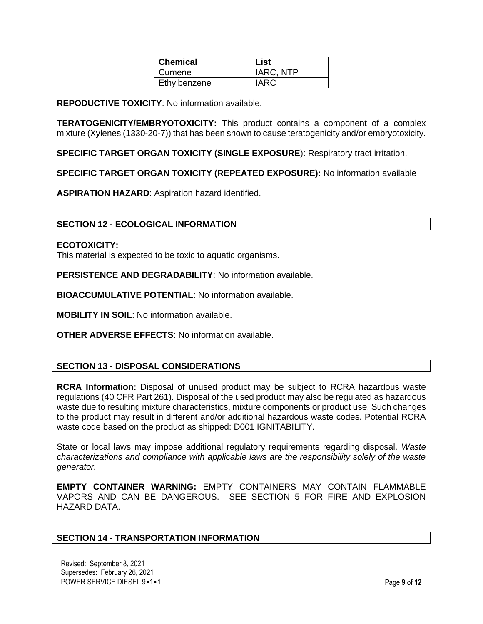| <b>Chemical</b> | <b>List</b> |
|-----------------|-------------|
| I Cumene        | IARC, NTP   |
| Ethylbenzene    | IARC        |

**REPODUCTIVE TOXICITY**: No information available.

**TERATOGENICITY/EMBRYOTOXICITY:** This product contains a component of a complex mixture (Xylenes (1330-20-7)) that has been shown to cause teratogenicity and/or embryotoxicity.

**SPECIFIC TARGET ORGAN TOXICITY (SINGLE EXPOSURE**): Respiratory tract irritation.

**SPECIFIC TARGET ORGAN TOXICITY (REPEATED EXPOSURE):** No information available

**ASPIRATION HAZARD**: Aspiration hazard identified.

### **SECTION 12 - ECOLOGICAL INFORMATION**

#### **ECOTOXICITY:**

This material is expected to be toxic to aquatic organisms.

**PERSISTENCE AND DEGRADABILITY**: No information available.

**BIOACCUMULATIVE POTENTIAL**: No information available.

**MOBILITY IN SOIL**: No information available.

**OTHER ADVERSE EFFECTS**: No information available.

#### **SECTION 13 - DISPOSAL CONSIDERATIONS**

**RCRA Information:** Disposal of unused product may be subject to RCRA hazardous waste regulations (40 CFR Part 261). Disposal of the used product may also be regulated as hazardous waste due to resulting mixture characteristics, mixture components or product use. Such changes to the product may result in different and/or additional hazardous waste codes. Potential RCRA waste code based on the product as shipped: D001 IGNITABILITY.

State or local laws may impose additional regulatory requirements regarding disposal. *Waste characterizations and compliance with applicable laws are the responsibility solely of the waste generator.*

**EMPTY CONTAINER WARNING:** EMPTY CONTAINERS MAY CONTAIN FLAMMABLE VAPORS AND CAN BE DANGEROUS. SEE SECTION 5 FOR FIRE AND EXPLOSION HAZARD DATA.

#### **SECTION 14 - TRANSPORTATION INFORMATION**

Revised: September 8, 2021 Supersedes: February 26, 2021 POWER SERVICE DIESEL 9•1•1 **Page 9** of 12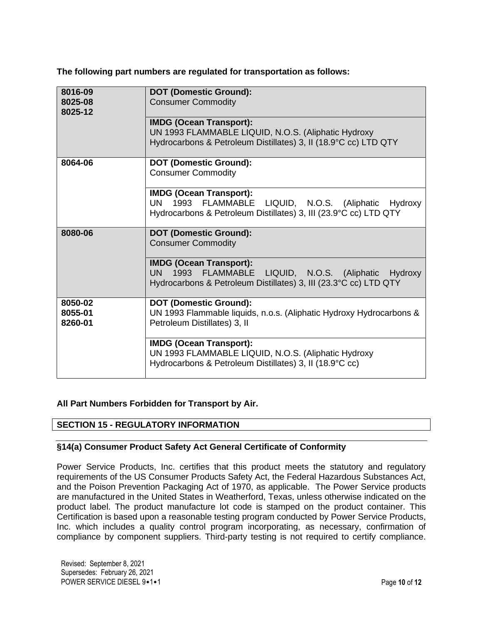**The following part numbers are regulated for transportation as follows:** 

| 8016-09 | <b>DOT (Domestic Ground):</b>                                       |
|---------|---------------------------------------------------------------------|
| 8025-08 | <b>Consumer Commodity</b>                                           |
| 8025-12 |                                                                     |
|         | <b>IMDG (Ocean Transport):</b>                                      |
|         | UN 1993 FLAMMABLE LIQUID, N.O.S. (Aliphatic Hydroxy                 |
|         | Hydrocarbons & Petroleum Distillates) 3, II (18.9°C cc) LTD QTY     |
|         |                                                                     |
| 8064-06 | <b>DOT (Domestic Ground):</b>                                       |
|         | <b>Consumer Commodity</b>                                           |
|         |                                                                     |
|         | <b>IMDG (Ocean Transport):</b>                                      |
|         | UN -<br>1993 FLAMMABLE LIQUID, N.O.S. (Aliphatic Hydroxy            |
|         | Hydrocarbons & Petroleum Distillates) 3, III (23.9°C cc) LTD QTY    |
|         |                                                                     |
| 8080-06 | <b>DOT (Domestic Ground):</b>                                       |
|         |                                                                     |
|         |                                                                     |
|         | <b>Consumer Commodity</b>                                           |
|         |                                                                     |
|         | <b>IMDG (Ocean Transport):</b>                                      |
|         | 1993 FLAMMABLE LIQUID, N.O.S. (Aliphatic Hydroxy<br>UN              |
|         | Hydrocarbons & Petroleum Distillates) 3, III (23.3°C cc) LTD QTY    |
|         |                                                                     |
| 8050-02 | <b>DOT (Domestic Ground):</b>                                       |
| 8055-01 | UN 1993 Flammable liquids, n.o.s. (Aliphatic Hydroxy Hydrocarbons & |
| 8260-01 | Petroleum Distillates) 3, II                                        |
|         |                                                                     |
|         | <b>IMDG (Ocean Transport):</b>                                      |
|         | UN 1993 FLAMMABLE LIQUID, N.O.S. (Aliphatic Hydroxy                 |
|         | Hydrocarbons & Petroleum Distillates) 3, II (18.9°C cc)             |

# **All Part Numbers Forbidden for Transport by Air.**

# **SECTION 15 - REGULATORY INFORMATION**

# **§14(a) Consumer Product Safety Act General Certificate of Conformity**

Power Service Products, Inc. certifies that this product meets the statutory and regulatory requirements of the US Consumer Products Safety Act, the Federal Hazardous Substances Act, and the Poison Prevention Packaging Act of 1970, as applicable. The Power Service products are manufactured in the United States in Weatherford, Texas, unless otherwise indicated on the product label. The product manufacture lot code is stamped on the product container. This Certification is based upon a reasonable testing program conducted by Power Service Products, Inc. which includes a quality control program incorporating, as necessary, confirmation of compliance by component suppliers. Third-party testing is not required to certify compliance.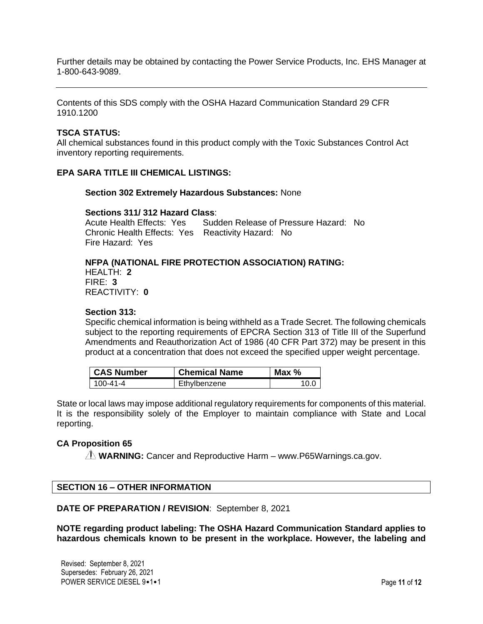Further details may be obtained by contacting the Power Service Products, Inc. EHS Manager at 1-800-643-9089.

Contents of this SDS comply with the OSHA Hazard Communication Standard 29 CFR 1910.1200

#### **TSCA STATUS:**

All chemical substances found in this product comply with the Toxic Substances Control Act inventory reporting requirements.

#### **EPA SARA TITLE III CHEMICAL LISTINGS:**

#### **Section 302 Extremely Hazardous Substances:** None

#### **Sections 311/ 312 Hazard Class**:

Acute Health Effects: Yes Sudden Release of Pressure Hazard: No Chronic Health Effects: Yes Reactivity Hazard: No Fire Hazard: Yes

#### **NFPA (NATIONAL FIRE PROTECTION ASSOCIATION) RATING:**

HEALTH: **2** FIRE: **3** REACTIVITY: **0**

#### **Section 313:**

Specific chemical information is being withheld as a Trade Secret. The following chemicals subject to the reporting requirements of EPCRA Section 313 of Title III of the Superfund Amendments and Reauthorization Act of 1986 (40 CFR Part 372) may be present in this product at a concentration that does not exceed the specified upper weight percentage.

| <b>CAS Number</b> | <b>Chemical Name</b> | Max $%$ |
|-------------------|----------------------|---------|
| 100-41-4          | Ethylbenzene         |         |

State or local laws may impose additional regulatory requirements for components of this material. It is the responsibility solely of the Employer to maintain compliance with State and Local reporting.

#### **CA Proposition 65**

**WARNING:** Cancer and Reproductive Harm – www.P65Warnings.ca.gov.

#### **SECTION 16 – OTHER INFORMATION**

**DATE OF PREPARATION / REVISION**: September 8, 2021

**NOTE regarding product labeling: The OSHA Hazard Communication Standard applies to hazardous chemicals known to be present in the workplace. However, the labeling and**